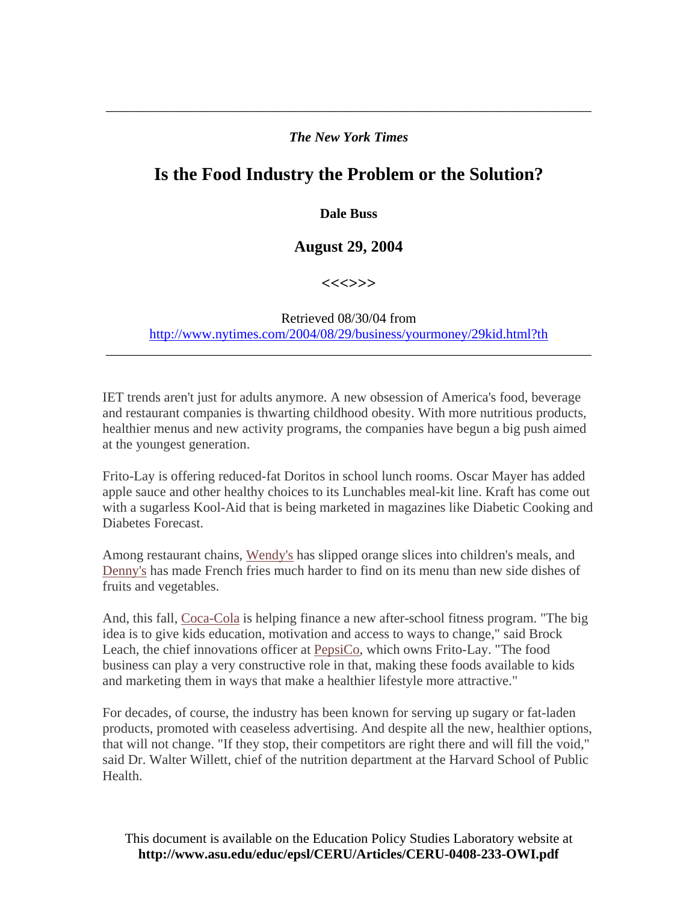## *The New York Times*

\_\_\_\_\_\_\_\_\_\_\_\_\_\_\_\_\_\_\_\_\_\_\_\_\_\_\_\_\_\_\_\_\_\_\_\_\_\_\_\_\_\_\_\_\_\_\_\_\_\_\_\_\_\_\_\_\_\_\_\_\_\_\_\_\_\_\_\_\_\_\_

## **Is the Food Industry the Problem or the Solution?**

**Dale Buss** 

**August 29, 2004** 

**<<<>>>** 

Retrieved 08/30/04 from http://www.nytimes.com/2004/08/29/business/yourmoney/29kid.html?th

\_\_\_\_\_\_\_\_\_\_\_\_\_\_\_\_\_\_\_\_\_\_\_\_\_\_\_\_\_\_\_\_\_\_\_\_\_\_\_\_\_\_\_\_\_\_\_\_\_\_\_\_\_\_\_\_\_\_\_\_\_\_\_\_\_\_\_\_\_\_\_

IET trends aren't just for adults anymore. A new obsession of America's food, beverage and restaurant companies is thwarting childhood obesity. With more nutritious products, healthier menus and new activity programs, the companies have begun a big push aimed at the youngest generation.

Frito-Lay is offering reduced-fat Doritos in school lunch rooms. Oscar Mayer has added apple sauce and other healthy choices to its Lunchables meal-kit line. Kraft has come out with a sugarless Kool-Aid that is being marketed in magazines like Diabetic Cooking and Diabetes Forecast.

Among restaurant chains, Wendy's has slipped orange slices into children's meals, and Denny's has made French fries much harder to find on its menu than new side dishes of fruits and vegetables.

And, this fall, Coca-Cola is helping finance a new after-school fitness program. "The big idea is to give kids education, motivation and access to ways to change," said Brock Leach, the chief innovations officer at PepsiCo, which owns Frito-Lay. "The food business can play a very constructive role in that, making these foods available to kids and marketing them in ways that make a healthier lifestyle more attractive."

For decades, of course, the industry has been known for serving up sugary or fat-laden products, promoted with ceaseless advertising. And despite all the new, healthier options, that will not change. "If they stop, their competitors are right there and will fill the void," said Dr. Walter Willett, chief of the nutrition department at the Harvard School of Public Health.

This document is available on the Education Policy Studies Laboratory website at **http://www.asu.edu/educ/epsl/CERU/Articles/CERU-0408-233-OWI.pdf**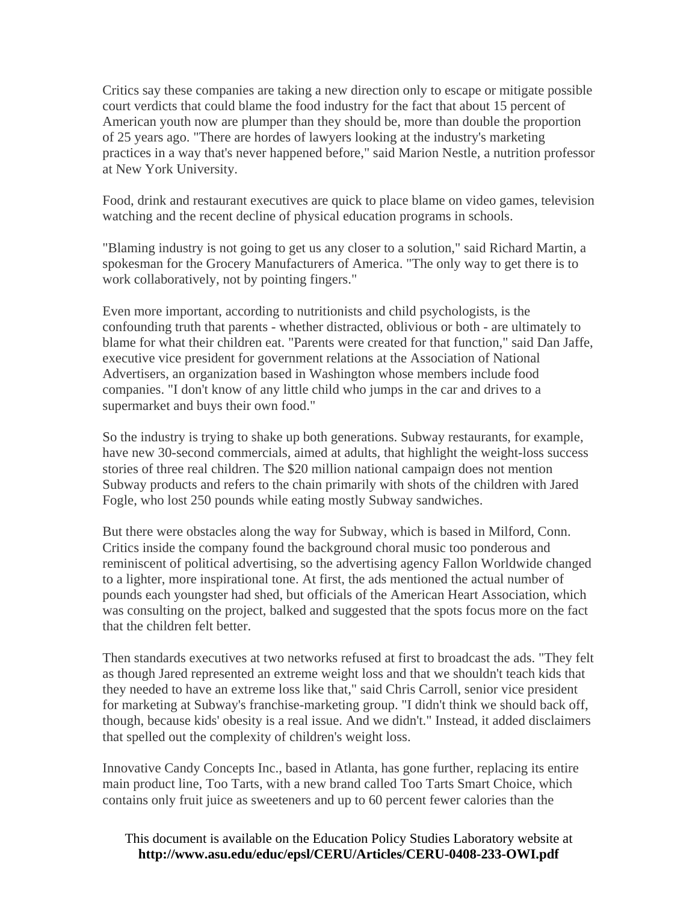Critics say these companies are taking a new direction only to escape or mitigate possible court verdicts that could blame the food industry for the fact that about 15 percent of American youth now are plumper than they should be, more than double the proportion of 25 years ago. "There are hordes of lawyers looking at the industry's marketing practices in a way that's never happened before," said Marion Nestle, a nutrition professor at New York University.

Food, drink and restaurant executives are quick to place blame on video games, television watching and the recent decline of physical education programs in schools.

"Blaming industry is not going to get us any closer to a solution," said Richard Martin, a spokesman for the Grocery Manufacturers of America. "The only way to get there is to work collaboratively, not by pointing fingers."

Even more important, according to nutritionists and child psychologists, is the confounding truth that parents - whether distracted, oblivious or both - are ultimately to blame for what their children eat. "Parents were created for that function," said Dan Jaffe, executive vice president for government relations at the Association of National Advertisers, an organization based in Washington whose members include food companies. "I don't know of any little child who jumps in the car and drives to a supermarket and buys their own food."

So the industry is trying to shake up both generations. Subway restaurants, for example, have new 30-second commercials, aimed at adults, that highlight the weight-loss success stories of three real children. The \$20 million national campaign does not mention Subway products and refers to the chain primarily with shots of the children with Jared Fogle, who lost 250 pounds while eating mostly Subway sandwiches.

But there were obstacles along the way for Subway, which is based in Milford, Conn. Critics inside the company found the background choral music too ponderous and reminiscent of political advertising, so the advertising agency Fallon Worldwide changed to a lighter, more inspirational tone. At first, the ads mentioned the actual number of pounds each youngster had shed, but officials of the American Heart Association, which was consulting on the project, balked and suggested that the spots focus more on the fact that the children felt better.

Then standards executives at two networks refused at first to broadcast the ads. "They felt as though Jared represented an extreme weight loss and that we shouldn't teach kids that they needed to have an extreme loss like that," said Chris Carroll, senior vice president for marketing at Subway's franchise-marketing group. "I didn't think we should back off, though, because kids' obesity is a real issue. And we didn't." Instead, it added disclaimers that spelled out the complexity of children's weight loss.

Innovative Candy Concepts Inc., based in Atlanta, has gone further, replacing its entire main product line, Too Tarts, with a new brand called Too Tarts Smart Choice, which contains only fruit juice as sweeteners and up to 60 percent fewer calories than the

This document is available on the Education Policy Studies Laboratory website at **http://www.asu.edu/educ/epsl/CERU/Articles/CERU-0408-233-OWI.pdf**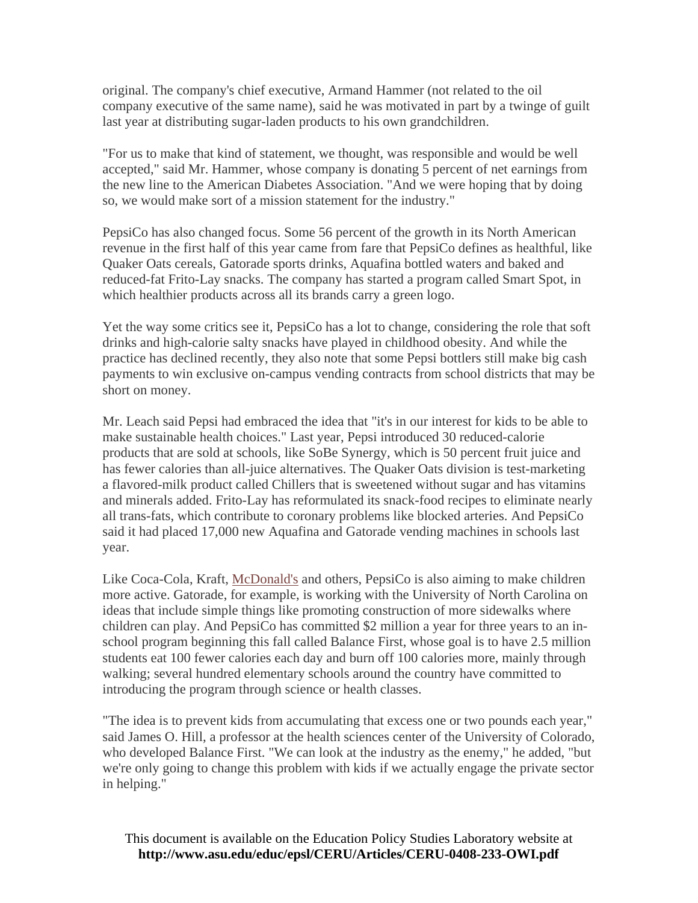original. The company's chief executive, Armand Hammer (not related to the oil company executive of the same name), said he was motivated in part by a twinge of guilt last year at distributing sugar-laden products to his own grandchildren.

"For us to make that kind of statement, we thought, was responsible and would be well accepted," said Mr. Hammer, whose company is donating 5 percent of net earnings from the new line to the American Diabetes Association. "And we were hoping that by doing so, we would make sort of a mission statement for the industry."

PepsiCo has also changed focus. Some 56 percent of the growth in its North American revenue in the first half of this year came from fare that PepsiCo defines as healthful, like Quaker Oats cereals, Gatorade sports drinks, Aquafina bottled waters and baked and reduced-fat Frito-Lay snacks. The company has started a program called Smart Spot, in which healthier products across all its brands carry a green logo.

Yet the way some critics see it, PepsiCo has a lot to change, considering the role that soft drinks and high-calorie salty snacks have played in childhood obesity. And while the practice has declined recently, they also note that some Pepsi bottlers still make big cash payments to win exclusive on-campus vending contracts from school districts that may be short on money.

Mr. Leach said Pepsi had embraced the idea that "it's in our interest for kids to be able to make sustainable health choices." Last year, Pepsi introduced 30 reduced-calorie products that are sold at schools, like SoBe Synergy, which is 50 percent fruit juice and has fewer calories than all-juice alternatives. The Quaker Oats division is test-marketing a flavored-milk product called Chillers that is sweetened without sugar and has vitamins and minerals added. Frito-Lay has reformulated its snack-food recipes to eliminate nearly all trans-fats, which contribute to coronary problems like blocked arteries. And PepsiCo said it had placed 17,000 new Aquafina and Gatorade vending machines in schools last year.

Like Coca-Cola, Kraft, McDonald's and others, PepsiCo is also aiming to make children more active. Gatorade, for example, is working with the University of North Carolina on ideas that include simple things like promoting construction of more sidewalks where children can play. And PepsiCo has committed \$2 million a year for three years to an inschool program beginning this fall called Balance First, whose goal is to have 2.5 million students eat 100 fewer calories each day and burn off 100 calories more, mainly through walking; several hundred elementary schools around the country have committed to introducing the program through science or health classes.

"The idea is to prevent kids from accumulating that excess one or two pounds each year," said James O. Hill, a professor at the health sciences center of the University of Colorado, who developed Balance First. "We can look at the industry as the enemy," he added, "but we're only going to change this problem with kids if we actually engage the private sector in helping."

This document is available on the Education Policy Studies Laboratory website at **http://www.asu.edu/educ/epsl/CERU/Articles/CERU-0408-233-OWI.pdf**